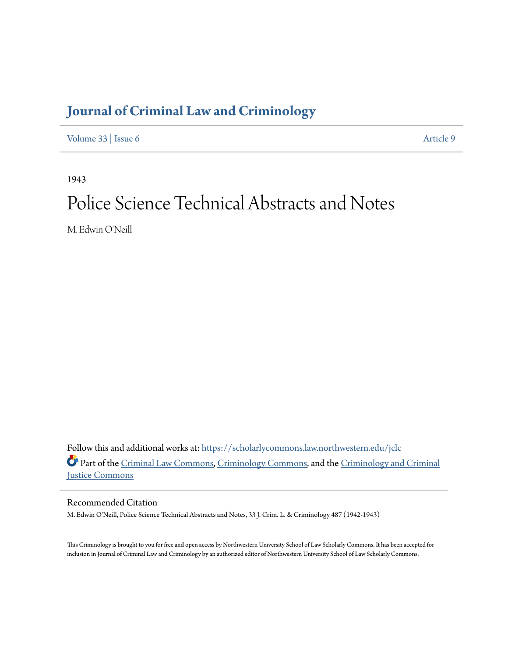# **[Journal of Criminal Law and Criminology](https://scholarlycommons.law.northwestern.edu/jclc?utm_source=scholarlycommons.law.northwestern.edu%2Fjclc%2Fvol33%2Fiss6%2F9&utm_medium=PDF&utm_campaign=PDFCoverPages)**

[Volume 33](https://scholarlycommons.law.northwestern.edu/jclc/vol33?utm_source=scholarlycommons.law.northwestern.edu%2Fjclc%2Fvol33%2Fiss6%2F9&utm_medium=PDF&utm_campaign=PDFCoverPages) | [Issue 6](https://scholarlycommons.law.northwestern.edu/jclc/vol33/iss6?utm_source=scholarlycommons.law.northwestern.edu%2Fjclc%2Fvol33%2Fiss6%2F9&utm_medium=PDF&utm_campaign=PDFCoverPages) [Article 9](https://scholarlycommons.law.northwestern.edu/jclc/vol33/iss6/9?utm_source=scholarlycommons.law.northwestern.edu%2Fjclc%2Fvol33%2Fiss6%2F9&utm_medium=PDF&utm_campaign=PDFCoverPages)

1943

# Police Science Technical Abstracts and Notes

M. Edwin O'Neill

Follow this and additional works at: [https://scholarlycommons.law.northwestern.edu/jclc](https://scholarlycommons.law.northwestern.edu/jclc?utm_source=scholarlycommons.law.northwestern.edu%2Fjclc%2Fvol33%2Fiss6%2F9&utm_medium=PDF&utm_campaign=PDFCoverPages) Part of the [Criminal Law Commons](http://network.bepress.com/hgg/discipline/912?utm_source=scholarlycommons.law.northwestern.edu%2Fjclc%2Fvol33%2Fiss6%2F9&utm_medium=PDF&utm_campaign=PDFCoverPages), [Criminology Commons](http://network.bepress.com/hgg/discipline/417?utm_source=scholarlycommons.law.northwestern.edu%2Fjclc%2Fvol33%2Fiss6%2F9&utm_medium=PDF&utm_campaign=PDFCoverPages), and the [Criminology and Criminal](http://network.bepress.com/hgg/discipline/367?utm_source=scholarlycommons.law.northwestern.edu%2Fjclc%2Fvol33%2Fiss6%2F9&utm_medium=PDF&utm_campaign=PDFCoverPages) [Justice Commons](http://network.bepress.com/hgg/discipline/367?utm_source=scholarlycommons.law.northwestern.edu%2Fjclc%2Fvol33%2Fiss6%2F9&utm_medium=PDF&utm_campaign=PDFCoverPages)

Recommended Citation

M. Edwin O'Neill, Police Science Technical Abstracts and Notes, 33 J. Crim. L. & Criminology 487 (1942-1943)

This Criminology is brought to you for free and open access by Northwestern University School of Law Scholarly Commons. It has been accepted for inclusion in Journal of Criminal Law and Criminology by an authorized editor of Northwestern University School of Law Scholarly Commons.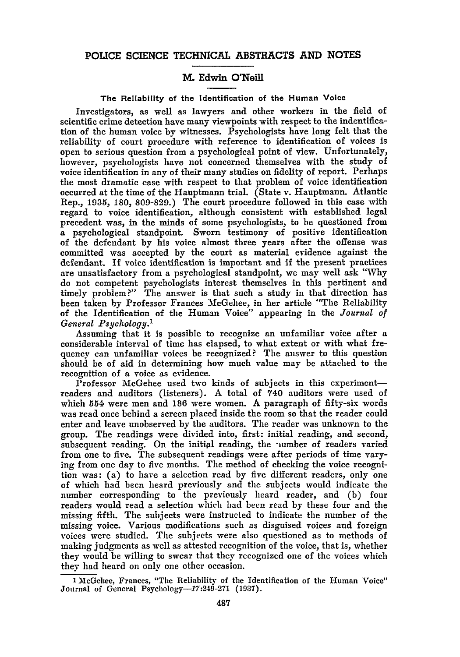### POLICE **SCIENCE TECHNICAL** ABSTRACTS **AND NOTES**

## M. Edwin O'Neill

#### The Reliability of the Identification of the Human Voice

Investigators, as well as lawyers and other workers in the field of scientific crime detection have many viewpoints with respect to the indentification of the human voice **by** witnesses. Psychologists have long felt that the reliability of court procedure with reference to identification of voices is open to serious question from a psychological point of view. Unfortunately, however, psychologists have not concerned themselves with the study of voice identification in any of their many studies on fidelity of report. Perhaps the most dramatic case with respect to that problem of voice identification occurred at the time of the Hauptmann trial. (State v. Hauptmann. Atlantic Rep., **1935, 180, 809-829.)** The court procedure followed in this case with regard to voice identification, although consistent with established legal precedent was, in the minds of some psychologists, to be questioned from a psychological standpoint. Sworn testimony of positive identification of the defendant **by** his voice almost three years after the offense was committed was accepted **by** the court as material evidence against the defendant. **If** voice identification is important and if the present practices are unsatisfactory from a psychological standpoint, we may well ask "Why do not competent psychologists interest themselves in this pertinent and timely problem?" The answer is that such a study in that direction has been taken **by** Professor Frances McGehee, in her article "The Reliability of the Identification of the Human Voice" appearing in the *Journal of General Psychology.'*

Assuming that it is possible to recognize an unfamiliar voice after a considerable interval of time has elapsed, to what extent or with what frequency can unfamiliar voices be recognized? The answer to this question should be of aid in determining how much value may be attached to the recognition of a voice as evidence.

Professor McGehee used two kinds of subjects in this experimentreaders and auditors (listeners). **A** total of 740 auditors were used of which **554** were men and 186 were women. A paragraph of fifty-six words was read once behind a screen placed inside the room so that the reader could enter and leave unobserved by the auditors. The reader was unknown to the group. The readings were divided into, first: initial reading, and second, subsequent reading. On the initial reading, the number of readers varied from one to five. The subsequent readings were after periods of time varying from one day to five months. The method of checking the voice recognition was: (a) to have a selection read by five different readers, only one of which had been heard previously and the subjects would indicate the number corresponding to the previously heard reader, and (b) four readers would read a selection which had been read by these four and the missing fifth. The subjects were instructed to indicate the number of the missing voice. Various modifications such as disguised voices and foreign voices were studied. The subjects were also questioned as to methods of making judgments as well as attested recognition of the voice, that is, whether they would be willing to swear that they recognized one of the voices which they had heard on only one other occasion.

**<sup>1</sup>** McGehee, Frances, "The Reliability of the Identification of the Human Voice" Journal of General Psychology-17:249-271 **(1937).**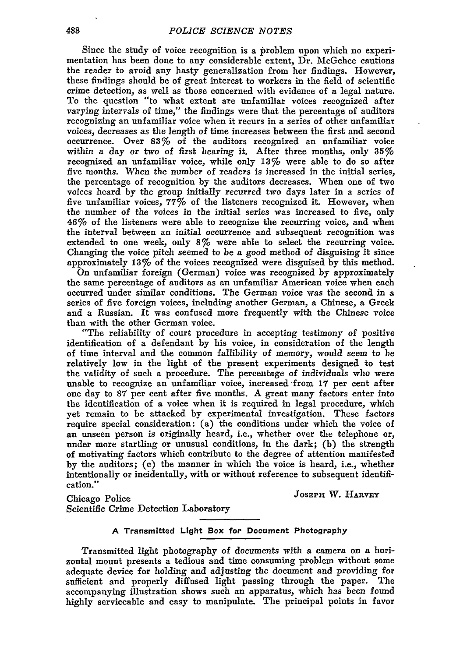Since the study of voice recognition is a problem upon which no experimentation has been done to any considerable extent, Dr. McGehee cautions the reader to avoid any hasty generalization from her findings. However, these findings should be of great interest to workers in the field of scientific crime detection, as well as those concerned with evidence of a legal nature. To the question "to what extent are unfamiliar voices recognized after varying intervals of time," the findings were that the percentage of auditors recognizing an unfamiliar voice when it recurs in a series of other unfamiliar voices, decreases as the length of time increases between the first and second occurrence. Over 83% of the auditors recognized an unfamiliar voice within a day or two of first hearing it. After three months, only **35%** recognized an unfamiliar voice, while only **131%** were able to do so after five months. When the number of readers is increased in the initial series, the percentage of recognition by the auditors decreases. When one of two voices heard by the group initially recurred two days later in a series of five unfamiliar voices,  $77\%$  of the listeners recognized it. However, when the number of the voices in the initial series was increased to five, only *46%* of the listeners were able to recognize the recurring voice, and when the interval between an initial occurrence and subsequent recognition was extended to one week, only 8% were able to select the recurring voice. Changing the voice pitch seemed to be a good method of disguising it since approximately 13% of the voices recognized were disguised by this method.

On unfamiliar foreign (German) voice was recognized **by** approximately the same percentage of auditors as an unfamiliar American voice when each occurred under similar conditions. The German voice was the second in a series of five foreign voices, including another German, a Chinese, a Greek and a Russian. It was confused more frequently with the Chinese voice than with the other German voice.

"The reliability of court procedure in accepting testimony of positive identification of a defendant by his voice, in consideration of the length of time interval and the common fallibility of memory, would seem to be relatively low in the light of the present experiments designed to test the validity of such a procedure. The percentage of individuals who were unable to recognize an unfamiliar voice, increased-from **17** per cent after one day to **87** per cent after five months. A great many factors enter into the identification of a voice when it is required in legal procedure, which yet remain to be attacked by experimental investigation. These factors require special consideration: (a) the conditions under which the voice of an unseen person is originally heard, i.e., whether over the telephone or, under more startling or unusual conditions, in the dark; (b) the strength of motivating factors which contribute to the degree of attention manifested by the auditors; (c) the manner in which the voice is heard, i.e., whether intentionally or incidentally, with or without reference to subsequent identification."

Chicago Police **JOSEPH** W. **HARVEY**

Scientific Crime Detection Laboratory

#### **A** Transmitted Light Box for Document Photography

Transmitted light photography of documents with a camera on a horizontal mount presents a tedious and time consuming problem without some adequate device for holding and adjusting the document and providing for sufficient and properly diffused light passing through the paper. The accompanying illustration shows such an apparatus, which has been found highly serviceable and easy to manipulate. The principal points in favor